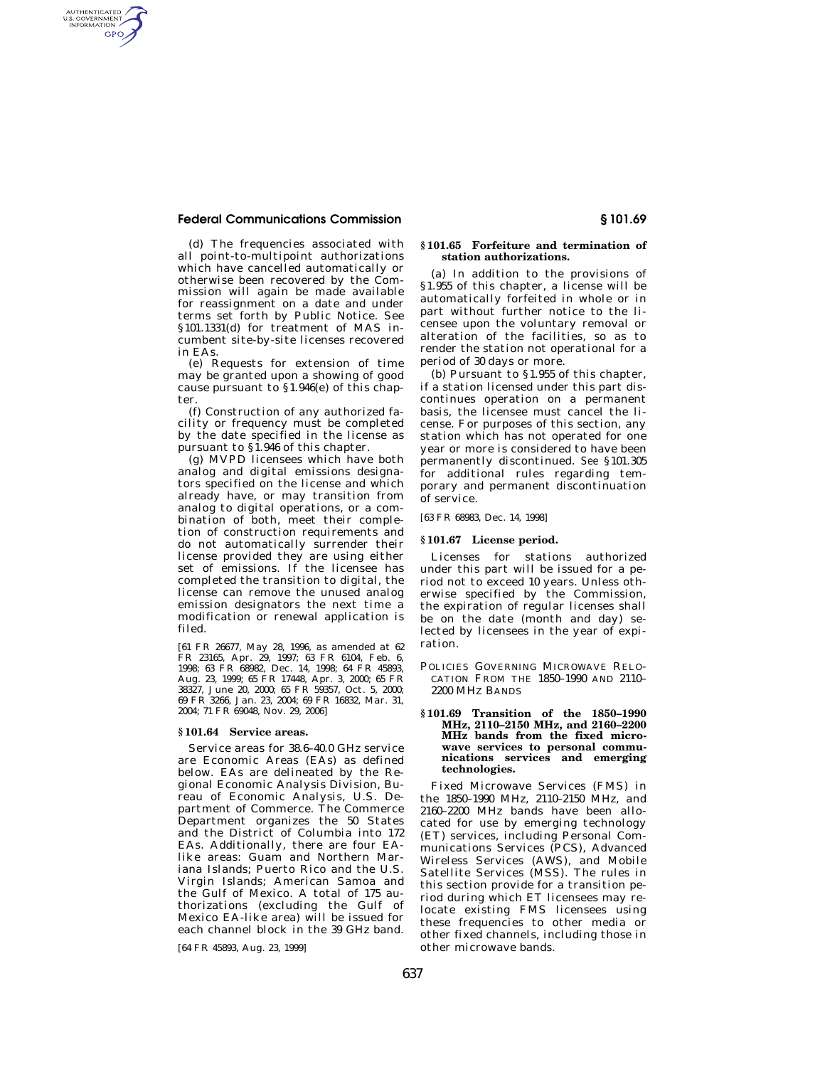# **Federal Communications Commission § 101.69**

AUTHENTICATED<br>U.S. GOVERNMENT<br>INFORMATION GPO

> (d) The frequencies associated with all point-to-multipoint authorizations which have cancelled automatically or otherwise been recovered by the Commission will again be made available for reassignment on a date and under terms set forth by Public Notice. See §101.1331(d) for treatment of MAS incumbent site-by-site licenses recovered in EAs.

> (e) Requests for extension of time may be granted upon a showing of good cause pursuant to §1.946(e) of this chapter.

> (f) Construction of any authorized facility or frequency must be completed by the date specified in the license as pursuant to §1.946 of this chapter.

> (g) MVPD licensees which have both analog and digital emissions designators specified on the license and which already have, or may transition from analog to digital operations, or a combination of both, meet their completion of construction requirements and do not automatically surrender their license provided they are using either set of emissions. If the licensee has completed the transition to digital, the license can remove the unused analog emission designators the next time a modification or renewal application is filed.

> [61 FR 26677, May 28, 1996, as amended at 62 FR 23165, Apr. 29, 1997; 63 FR 6104, Feb. 6, 1998; 63 FR 68982, Dec. 14, 1998; 64 FR 45893, Aug. 23, 1999; 65 FR 17448, Apr. 3, 2000; 65 FR 38327, June 20, 2000; 65 FR 59357, Oct. 5, 2000; 69 FR 3266, Jan. 23, 2004; 69 FR 16832, Mar. 31, 2004; 71 FR 69048, Nov. 29, 2006]

### **§ 101.64 Service areas.**

Service areas for 38.6–40.0 GHz service are Economic Areas (EAs) as defined below. EAs are delineated by the Regional Economic Analysis Division, Bureau of Economic Analysis, U.S. Department of Commerce. The Commerce .<br>Department organizes the 50 States and the District of Columbia into 172 EAs. Additionally, there are four EAlike areas: Guam and Northern Mariana Islands; Puerto Rico and the U.S. Virgin Islands; American Samoa and the Gulf of Mexico. A total of 175 authorizations (excluding the Gulf of Mexico EA-like area) will be issued for each channel block in the 39 GHz band.

[64 FR 45893, Aug. 23, 1999]

# **§ 101.65 Forfeiture and termination of station authorizations.**

(a) In addition to the provisions of §1.955 of this chapter, a license will be automatically forfeited in whole or in part without further notice to the licensee upon the voluntary removal or alteration of the facilities, so as to render the station not operational for a period of 30 days or more.

(b) Pursuant to §1.955 of this chapter, if a station licensed under this part discontinues operation on a permanent basis, the licensee must cancel the license. For purposes of this section, any station which has not operated for one year or more is considered to have been permanently discontinued. *See* §101.305 for additional rules regarding temporary and permanent discontinuation of service.

[63 FR 68983, Dec. 14, 1998]

## **§ 101.67 License period.**

Licenses for stations authorized under this part will be issued for a period not to exceed 10 years. Unless otherwise specified by the Commission, the expiration of regular licenses shall be on the date (month and day) selected by licensees in the year of expiration.

POLICIES GOVERNING MICROWAVE RELO-CATION FROM THE 1850–1990 AND 2110– 2200 MHZ BANDS

### **§ 101.69 Transition of the 1850–1990 MHz, 2110–2150 MHz, and 2160–2200 MHz bands from the fixed microwave services to personal communications services and emerging technologies.**

Fixed Microwave Services (FMS) in the 1850–1990 MHz, 2110–2150 MHz, and 2160–2200 MHz bands have been allocated for use by emerging technology (ET) services, including Personal Communications Services (PCS), Advanced Wireless Services (AWS), and Mobile Satellite Services (MSS). The rules in this section provide for a transition period during which ET licensees may relocate existing FMS licensees using these frequencies to other media or other fixed channels, including those in other microwave bands.